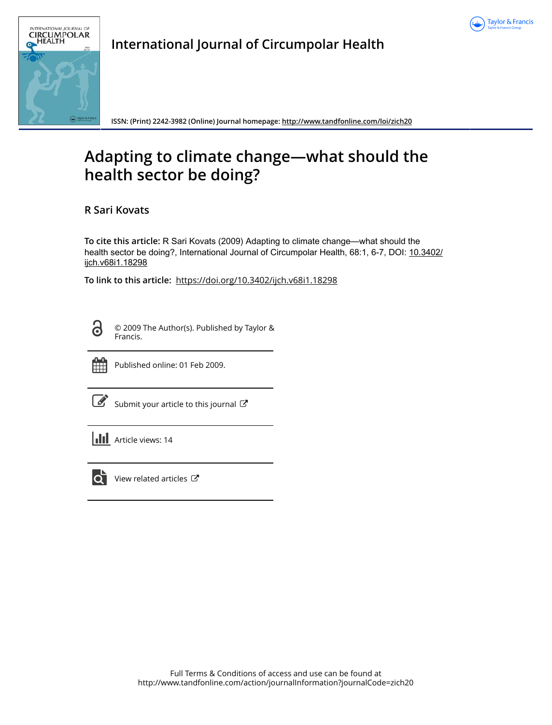



**International Journal of Circumpolar Health**

**ISSN: (Print) 2242-3982 (Online) Journal homepage:<http://www.tandfonline.com/loi/zich20>**

## **Adapting to climate change—what should the health sector be doing?**

**R Sari Kovats**

**To cite this article:** R Sari Kovats (2009) Adapting to climate change—what should the health sector be doing?, International Journal of Circumpolar Health, 68:1, 6-7, DOI: [10.3402/](http://www.tandfonline.com/action/showCitFormats?doi=10.3402/ijch.v68i1.18298) [ijch.v68i1.18298](http://www.tandfonline.com/action/showCitFormats?doi=10.3402/ijch.v68i1.18298)

**To link to this article:** <https://doi.org/10.3402/ijch.v68i1.18298>

 $\ddot{\mathbf{d}}$ 

© 2009 The Author(s). Published by Taylor & Francis.



Published online: 01 Feb 2009.

[Submit your article to this journal](http://www.tandfonline.com/action/authorSubmission?journalCode=zich20&show=instructions)  $\mathbb{Z}$ 

**III** Article views: 14



 $\overline{Q}$  [View related articles](http://www.tandfonline.com/doi/mlt/10.3402/ijch.v68i1.18298)  $\mathbb{Z}$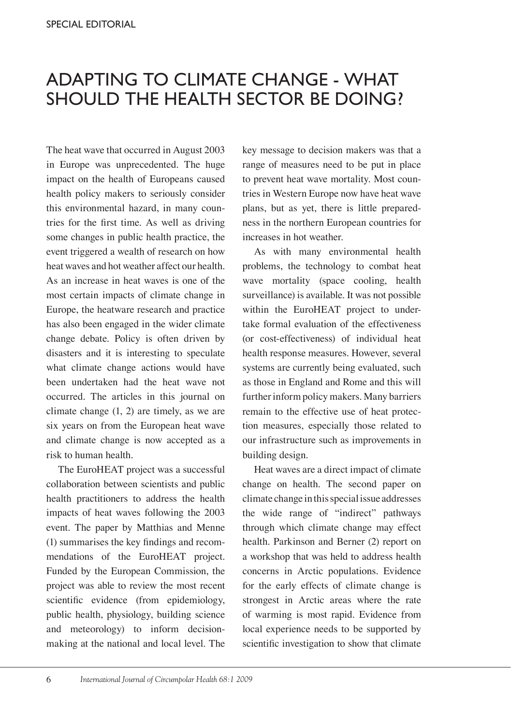## Adapting to climate change - what should the health sector be doing?

The heat wave that occurred in August 2003 in Europe was unprecedented. The huge impact on the health of Europeans caused health policy makers to seriously consider this environmental hazard, in many countries for the first time. As well as driving some changes in public health practice, the event triggered a wealth of research on how heat waves and hot weather affect our health. As an increase in heat waves is one of the most certain impacts of climate change in Europe, the heatware research and practice has also been engaged in the wider climate change debate. Policy is often driven by disasters and it is interesting to speculate what climate change actions would have been undertaken had the heat wave not occurred. The articles in this journal on climate change  $(1, 2)$  are timely, as we are six years on from the European heat wave and climate change is now accepted as a risk to human health.

The EuroHEAT project was a successful collaboration between scientists and public health practitioners to address the health impacts of heat waves following the 2003 event. The paper by Matthias and Menne (1) summarises the key findings and recommendations of the EuroHEAT project. Funded by the European Commission, the project was able to review the most recent scientific evidence (from epidemiology, public health, physiology, building science and meteorology) to inform decisionmaking at the national and local level. The key message to decision makers was that a range of measures need to be put in place to prevent heat wave mortality. Most countries in Western Europe now have heat wave plans, but as yet, there is little preparedness in the northern European countries for increases in hot weather.

As with many environmental health problems, the technology to combat heat wave mortality (space cooling, health surveillance) is available. It was not possible within the EuroHEAT project to undertake formal evaluation of the effectiveness (or cost-effectiveness) of individual heat health response measures. However, several systems are currently being evaluated, such as those in England and Rome and this will further inform policy makers. Many barriers remain to the effective use of heat protection measures, especially those related to our infrastructure such as improvements in building design.

Heat waves are a direct impact of climate change on health. The second paper on climate change in this special issue addresses the wide range of "indirect" pathways through which climate change may effect health. Parkinson and Berner (2) report on a workshop that was held to address health concerns in Arctic populations. Evidence for the early effects of climate change is strongest in Arctic areas where the rate of warming is most rapid. Evidence from local experience needs to be supported by scientific investigation to show that climate